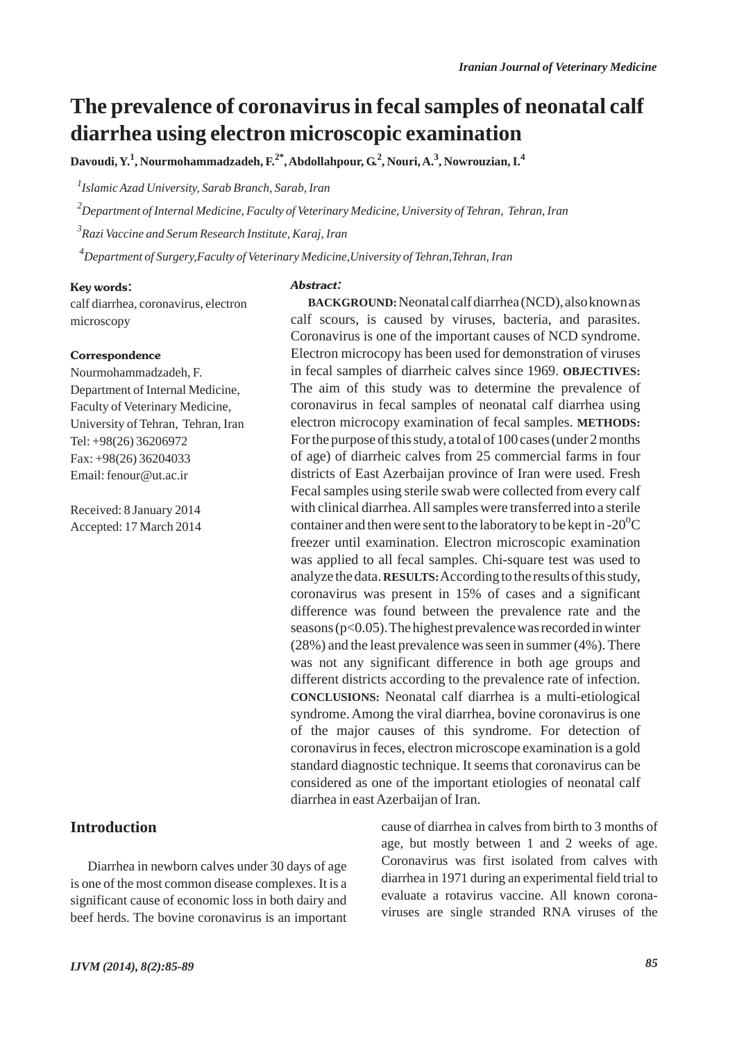# **The prevalence of coronavirus in fecal samples of neonatal calf diarrhea using electron microscopic examination**

**Davoudi, Y.<sup>1</sup> , Nourmohammadzadeh, F.2\*, Abdollahpour, G.2 , Nouri, A.<sup>3</sup> , Nowrouzian, I.<sup>4</sup>**

*1 Islamic Azad University, Sarab Branch, Sarab, Iran*

*2 Department of Internal Medicine, Faculty of Veterinary Medicine, University of Tehran, Tehran, Iran*

*3 Razi Vaccine and Serum Research Institute, Karaj, Iran*

*4 Department of Surgery,Faculty of Veterinary Medicine,University of Tehran,Tehran, Iran*

#### Key words:

calf diarrhea, coronavirus, electron microscopy

#### **Correspondence**

Nourmohammadzadeh, F. Department of Internal Medicine, Faculty of Veterinary Medicine, University of Tehran, Tehran, Iran Tel: +98(26) 36206972 Fax: +98(26) 36204033 Email: fenour@ut.ac.ir

Received: 8 January 2014 Accepted: 17 March 2014

# **Introduction**

Diarrhea in newborn calves under 30 days of age is one of the most common disease complexes. It is a significant cause of economic loss in both dairy and beef herds. The bovine coronavirus is an important

Abstract:

**BACKGROUND:**Neonatal calf diarrhea (NCD), also known as calf scours, is caused by viruses, bacteria, and parasites. Coronavirus is one of the important causes of NCD syndrome. Electron microcopy has been used for demonstration of viruses in fecal samples of diarrheic calves since 1969. **OBJECTIVES:** The aim of this study was to determine the prevalence of coronavirus in fecal samples of neonatal calf diarrhea using electron microcopy examination of fecal samples. **METHODS:** For the purpose of this study, a total of 100 cases (under 2 months of age) of diarrheic calves from 25 commercial farms in four districts of East Azerbaijan province of Iran were used. Fresh Fecal samples using sterile swab were collected from every calf with clinical diarrhea. All samples were transferred into a sterile container and then were sent to the laboratory to be kept in -20 $\mathrm{^oC}$ freezer until examination. Electron microscopic examination was applied to all fecal samples. Chi-square test was used to analyze the data. **RESULTS:**According to the results of this study, coronavirus was present in 15% of cases and a significant difference was found between the prevalence rate and the seasons (p<0.05). The highest prevalence was recorded in winter (28%) and the least prevalence was seen in summer (4%). There was not any significant difference in both age groups and different districts according to the prevalence rate of infection. **CONCLUSIONS:** Neonatal calf diarrhea is a multi-etiological syndrome. Among the viral diarrhea, bovine coronavirus is one of the major causes of this syndrome. For detection of coronavirus in feces, electron microscope examination is a gold standard diagnostic technique. It seems that coronavirus can be considered as one of the important etiologies of neonatal calf diarrhea in east Azerbaijan of Iran.

> cause of diarrhea in calves from birth to 3 months of age, but mostly between 1 and 2 weeks of age. Coronavirus was first isolated from calves with diarrhea in 1971 during an experimental field trial to evaluate a rotavirus vaccine. All known coronaviruses are single stranded RNA viruses of the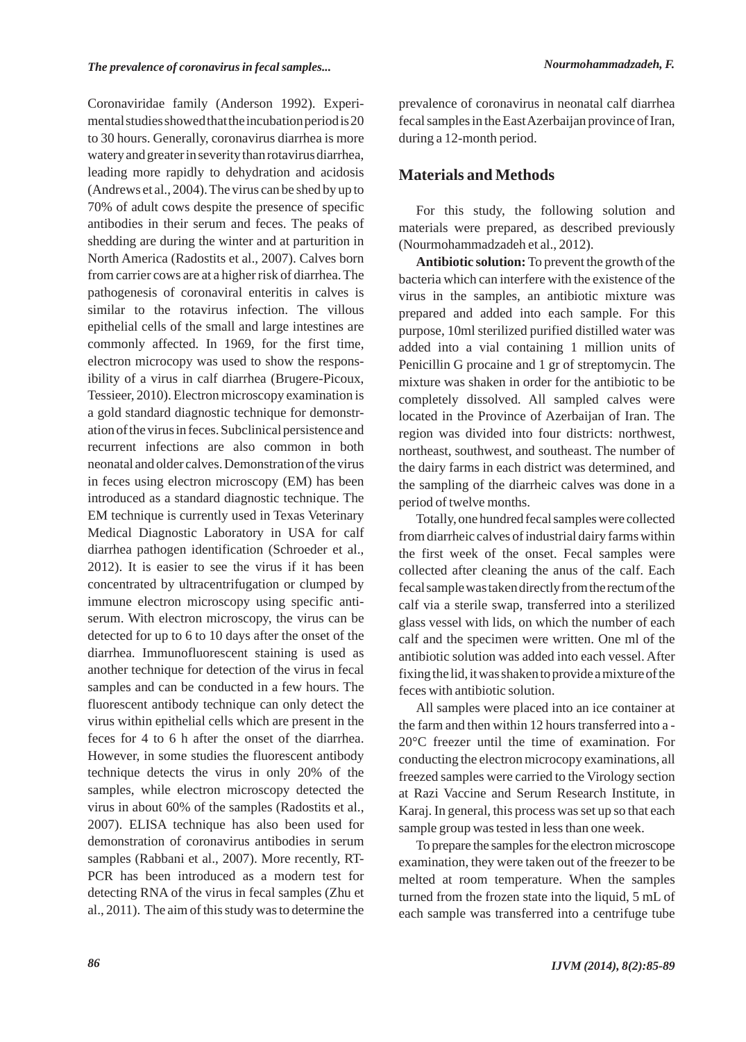Coronaviridae family (Anderson 1992). Experimental studies showed that the incubation period is 20 to 30 hours. Generally, coronavirus diarrhea is more watery and greater in severity than rotavirus diarrhea, leading more rapidly to dehydration and acidosis (Andrews et al., 2004). The virus can be shed by up to 70% of adult cows despite the presence of specific antibodies in their serum and feces. The peaks of shedding are during the winter and at parturition in North America (Radostits et al., 2007). Calves born from carrier cows are at a higher risk of diarrhea. The pathogenesis of coronaviral enteritis in calves is similar to the rotavirus infection. The villous epithelial cells of the small and large intestines are commonly affected. In 1969, for the first time, electron microcopy was used to show the responsibility of a virus in calf diarrhea (Brugere-Picoux, Tessieer, 2010). Electron microscopy examination is a gold standard diagnostic technique for demonstration of the virus in feces. Subclinical persistence and recurrent infections are also common in both neonatal and older calves. Demonstration of the virus in feces using electron microscopy (EM) has been introduced as a standard diagnostic technique. The EM technique is currently used in Texas Veterinary Medical Diagnostic Laboratory in USA for calf diarrhea pathogen identification (Schroeder et al., 2012). It is easier to see the virus if it has been concentrated by ultracentrifugation or clumped by immune electron microscopy using specific antiserum. With electron microscopy, the virus can be detected for up to 6 to 10 days after the onset of the diarrhea. Immunofluorescent staining is used as another technique for detection of the virus in fecal samples and can be conducted in a few hours. The fluorescent antibody technique can only detect the virus within epithelial cells which are present in the feces for 4 to 6 h after the onset of the diarrhea. However, in some studies the fluorescent antibody technique detects the virus in only 20% of the samples, while electron microscopy detected the virus in about 60% of the samples (Radostits et al., 2007). ELISA technique has also been used for demonstration of coronavirus antibodies in serum samples (Rabbani et al., 2007). More recently, RT-PCR has been introduced as a modern test for detecting RNA of the virus in fecal samples (Zhu et al., 2011). The aim of this study was to determine the

prevalence of coronavirus in neonatal calf diarrhea fecal samples in the East Azerbaijan province of Iran, during a 12-month period.

## **Materials and Methods**

For this study, the following solution and materials were prepared, as described previously (Nourmohammadzadeh et al., 2012).

**Antibiotic solution:** To prevent the growth of the bacteria which can interfere with the existence of the virus in the samples, an antibiotic mixture was prepared and added into each sample. For this purpose, 10ml sterilized purified distilled water was added into a vial containing 1 million units of Penicillin G procaine and 1 gr of streptomycin. The mixture was shaken in order for the antibiotic to be completely dissolved. All sampled calves were located in the Province of Azerbaijan of Iran. The region was divided into four districts: northwest, northeast, southwest, and southeast. The number of the dairy farms in each district was determined, and the sampling of the diarrheic calves was done in a period of twelve months.

Totally, one hundred fecal samples were collected from diarrheic calves of industrial dairy farms within the first week of the onset. Fecal samples were collected after cleaning the anus of the calf. Each fecal sample was taken directly from the rectum of the calf via a sterile swap, transferred into a sterilized glass vessel with lids, on which the number of each calf and the specimen were written. One ml of the antibiotic solution was added into each vessel. After fixing the lid, it was shaken to provide a mixture of the feces with antibiotic solution.

All samples were placed into an ice container at the farm and then within 12 hours transferred into a - 20°C freezer until the time of examination. For conducting the electron microcopy examinations, all freezed samples were carried to the Virology section at Razi Vaccine and Serum Research Institute, in Karaj. In general, this process was set up so that each sample group was tested in less than one week.

To prepare the samples for the electron microscope examination, they were taken out of the freezer to be melted at room temperature. When the samples turned from the frozen state into the liquid, 5 mL of each sample was transferred into a centrifuge tube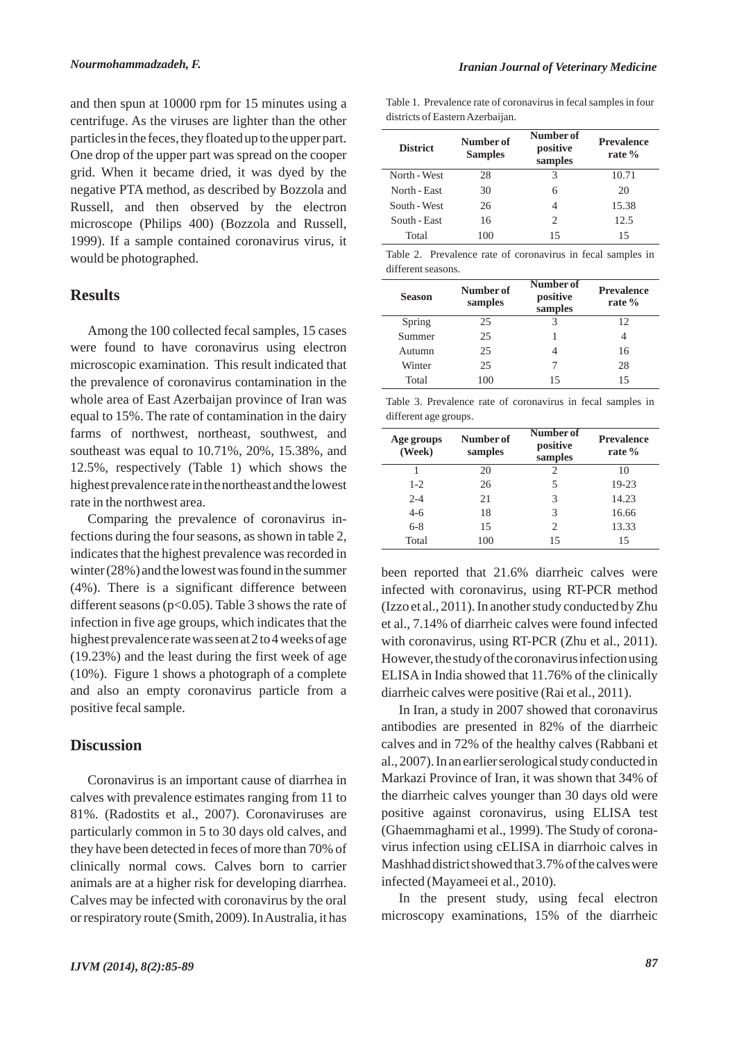and then spun at 10000 rpm for 15 minutes using a centrifuge. As the viruses are lighter than the other particles in the feces, they floated up to the upper part. One drop of the upper part was spread on the cooper grid. When it became dried, it was dyed by the negative PTA method, as described by Bozzola and Russell, and then observed by the electron microscope (Philips 400) (Bozzola and Russell, 1999). If a sample contained coronavirus virus, it would be photographed.

### **Results**

Among the 100 collected fecal samples, 15 cases were found to have coronavirus using electron microscopic examination. This result indicated that the prevalence of coronavirus contamination in the whole area of East Azerbaijan province of Iran was equal to 15%. The rate of contamination in the dairy farms of northwest, northeast, southwest, and southeast was equal to 10.71%, 20%, 15.38%, and 12.5%, respectively (Table 1) which shows the highest prevalence rate in the northeast and the lowest rate in the northwest area.

Comparing the prevalence of coronavirus infections during the four seasons, as shown in table 2, indicates that the highest prevalence was recorded in winter (28%) and the lowest was found in the summer (4%). There is a significant difference between different seasons ( $p<0.05$ ). Table 3 shows the rate of infection in five age groups, which indicates that the highest prevalence rate was seen at 2 to 4 weeks of age (19.23%) and the least during the first week of age (10%). Figure 1 shows a photograph of a complete and also an empty coronavirus particle from a positive fecal sample.

#### **Discussion**

Coronavirus is an important cause of diarrhea in calves with prevalence estimates ranging from 11 to 81%. (Radostits et al., 2007). Coronaviruses are particularly common in 5 to 30 days old calves, and they have been detected in feces of more than 70% of clinically normal cows. Calves born to carrier animals are at a higher risk for developing diarrhea. Calves may be infected with coronavirus by the oral or respiratory route (Smith, 2009). In Australia, it has Table 1. Prevalence rate of coronavirus in fecal samples in four districts of Eastern Azerbaijan.

| <b>District</b> | Number of<br><b>Samples</b> | Number of<br>positive<br>samples | <b>Prevalence</b><br>rate $%$ |
|-----------------|-----------------------------|----------------------------------|-------------------------------|
| North - West    | 28                          | 3                                | 10.71                         |
| North - East    | 30                          | 6                                | 20                            |
| South - West    | 26                          | 4                                | 15.38                         |
| South - East    | 16                          | 2                                | 12.5                          |
| Total           | 100                         | 15                               | 15                            |

Table 2. Prevalence rate of coronavirus in fecal samples in different seasons.

| <b>Season</b> | Number of<br>samples | Number of<br>positive<br>samples | <b>Prevalence</b><br>rate $%$ |
|---------------|----------------------|----------------------------------|-------------------------------|
| Spring        | 25                   | 3                                | 12                            |
| Summer        | 25                   |                                  |                               |
| Autumn        | 25                   |                                  | 16                            |
| Winter        | 25                   |                                  | 28                            |
| Total         | 100                  | 15                               | 15                            |

Table 3. Prevalence rate of coronavirus in fecal samples in different age groups.

| Age groups<br>(Week) | Number of<br>samples | Number of<br>positive<br>samples | <b>Prevalence</b><br>rate $\%$ |
|----------------------|----------------------|----------------------------------|--------------------------------|
|                      | 20                   | 2                                | 10                             |
| $1 - 2$              | 26                   | 5                                | 19-23                          |
| $2 - 4$              | 21                   | 3                                | 14.23                          |
| $4-6$                | 18                   | 3                                | 16.66                          |
| $6 - 8$              | 15                   | $\mathfrak{D}_{\mathfrak{p}}$    | 13.33                          |
| Total                | 100                  | 15                               | 15                             |

been reported that 21.6% diarrheic calves were infected with coronavirus, using RT-PCR method (Izzo et al., 2011). In another study conducted by Zhu et al., 7.14% of diarrheic calves were found infected with coronavirus, using RT-PCR (Zhu et al., 2011). However, the study of the coronavirus infection using ELISA in India showed that 11.76% of the clinically diarrheic calves were positive (Rai et al., 2011).

In Iran, a study in 2007 showed that coronavirus antibodies are presented in 82% of the diarrheic calves and in 72% of the healthy calves (Rabbani et al., 2007). In an earlier serological study conducted in Markazi Province of Iran, it was shown that 34% of the diarrheic calves younger than 30 days old were positive against coronavirus, using ELISA test (Ghaemmaghami et al., 1999). The Study of coronavirus infection using cELISA in diarrhoic calves in Mashhad district showed that 3.7% of the calves were infected (Mayameei et al., 2010).

In the present study, using fecal electron microscopy examinations, 15% of the diarrheic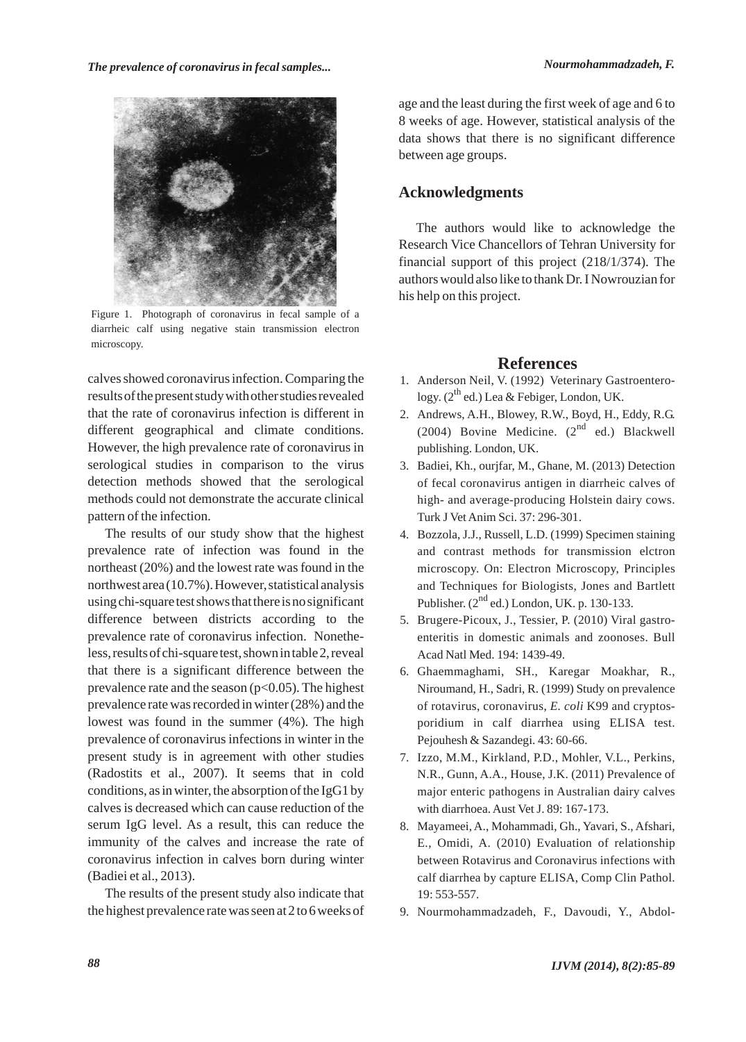*The prevalence of coronavirus in fecal samples... Nourmohammadzadeh, F.*



Figure 1. Photograph of coronavirus in fecal sample of a diarrheic calf using negative stain transmission electron microscopy.

calves showed coronavirus infection. Comparing the results of the present study with other studies revealed that the rate of coronavirus infection is different in different geographical and climate conditions. However, the high prevalence rate of coronavirus in serological studies in comparison to the virus detection methods showed that the serological methods could not demonstrate the accurate clinical pattern of the infection.

The results of our study show that the highest prevalence rate of infection was found in the northeast (20%) and the lowest rate was found in the northwest area (10.7%). However, statistical analysis using chi-square test shows that there is no significant difference between districts according to the prevalence rate of coronavirus infection. Nonetheless, results of chi-square test, shown in table 2, reveal that there is a significant difference between the prevalence rate and the season  $(p<0.05)$ . The highest prevalence rate was recorded in winter (28%) and the lowest was found in the summer (4%). The high prevalence of coronavirus infections in winter in the present study is in agreement with other studies (Radostits et al., 2007). It seems that in cold conditions, as in winter, the absorption of the IgG1 by calves is decreased which can cause reduction of the serum IgG level. As a result, this can reduce the immunity of the calves and increase the rate of coronavirus infection in calves born during winter (Badiei et al., 2013).

The results of the present study also indicate that the highest prevalence rate was seen at 2 to 6 weeks of age and the least during the first week of age and 6 to 8 weeks of age. However, statistical analysis of the data shows that there is no significant difference between age groups.

### **Acknowledgments**

The authors would like to acknowledge the Research Vice Chancellors of Tehran University for financial support of this project (218/1/374). The authors would also like to thank Dr. I Nowrouzian for his help on this project.

### **References**

- 1. Anderson Neil, V. (1992) Veterinary Gastroenterology.  $(2^{th}$  ed.) Lea & Febiger, London, UK.
- Andrews, A.H., Blowey, R.W., Boyd, H., Eddy, R.G. 2. (2004) Bovine Medicine.  $(2^{nd}$  ed.) Blackwell publishing. London, UK.
- Badiei, Kh., ourjfar, M., Ghane, M. (2013) Detection 3. of fecal coronavirus antigen in diarrheic calves of high- and average-producing Holstein dairy cows. Turk J Vet Anim Sci. 37: 296-301.
- Bozzola, J.J., Russell, L.D. (1999) Specimen staining 4. and contrast methods for transmission elctron microscopy. On: Electron Microscopy, Principles and Techniques for Biologists, Jones and Bartlett Publisher.  $(2^{nd}$  ed.) London, UK. p. 130-133.
- 5. Brugere-Picoux, J., Tessier, P. (2010) Viral gastroenteritis in domestic animals and zoonoses. Bull Acad Natl Med. 194: 1439-49.
- Ghaemmaghami, SH., Karegar Moakhar, R., 6. Niroumand, H., Sadri, R. (1999) Study on prevalence of rotavirus, coronavirus, *E. coli* K99 and cryptosporidium in calf diarrhea using ELISA test. Pejouhesh & Sazandegi. 43: 60-66.
- 7. Izzo, M.M., Kirkland, P.D., Mohler, V.L., Perkins, N.R., Gunn, A.A., House, J.K. (2011) Prevalence of major enteric pathogens in Australian dairy calves with diarrhoea. Aust Vet J. 89: 167-173.
- 8. Mayameei, A., Mohammadi, Gh., Yavari, S., Afshari, E., Omidi, A. (2010) Evaluation of relationship between Rotavirus and Coronavirus infections with calf diarrhea by capture ELISA, Comp Clin Pathol. 19: 553-557.
- 9. Nourmohammadzadeh, F., Davoudi, Y., Abdol-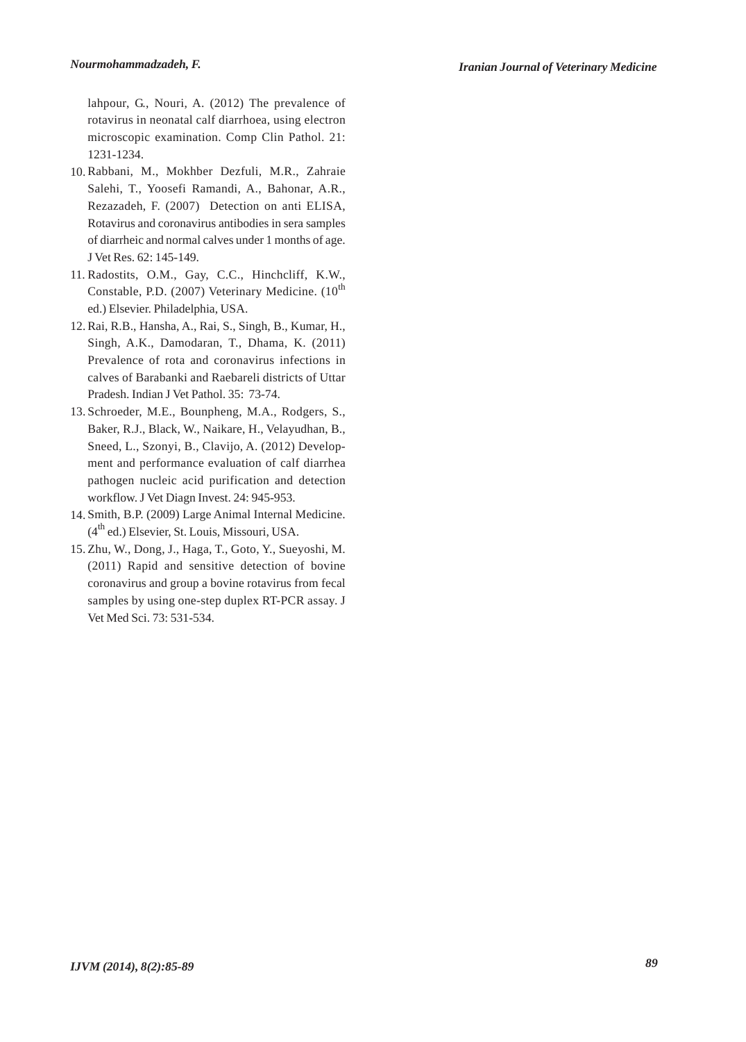lahpour, G., Nouri, A. (2012) The prevalence of rotavirus in neonatal calf diarrhoea, using electron microscopic examination. Comp Clin Pathol. 21: 1231-1234.

- 10. Rabbani, M., Mokhber Dezfuli, M.R., Zahraie Salehi, T., Yoosefi Ramandi, A., Bahonar, A.R., Rezazadeh, F. (2007) Detection on anti ELISA, Rotavirus and coronavirus antibodies in sera samples of diarrheic and normal calves under 1 months of age. J Vet Res. 62: 145-149.
- 11. Radostits, O.M., Gay, C.C., Hinchcliff, K.W., Constable, P.D. (2007) Veterinary Medicine.  $(10^{th}$ ed.) Elsevier. Philadelphia, USA.
- Rai, R.B., Hansha, A., Rai, S., Singh, B., Kumar, H., 12. Singh, A.K., Damodaran, T., Dhama, K. (2011) Prevalence of rota and coronavirus infections in calves of Barabanki and Raebareli districts of Uttar Pradesh. Indian J Vet Pathol. 35: 73-74.
- 13. Schroeder, M.E., Bounpheng, M.A., Rodgers, S., Baker, R.J., Black, W., Naikare, H., Velayudhan, B., Sneed, L., Szonyi, B., Clavijo, A. (2012) Development and performance evaluation of calf diarrhea pathogen nucleic acid purification and detection workflow. J Vet Diagn Invest. 24: 945-953.
- 14. Smith, B.P. (2009) Large Animal Internal Medicine.  $(4<sup>th</sup>$  ed.) Elsevier, St. Louis, Missouri, USA.
- 15. Zhu, W., Dong, J., Haga, T., Goto, Y., Sueyoshi, M. (2011) Rapid and sensitive detection of bovine coronavirus and group a bovine rotavirus from fecal samples by using one-step duplex RT-PCR assay. J Vet Med Sci. 73: 531-534.